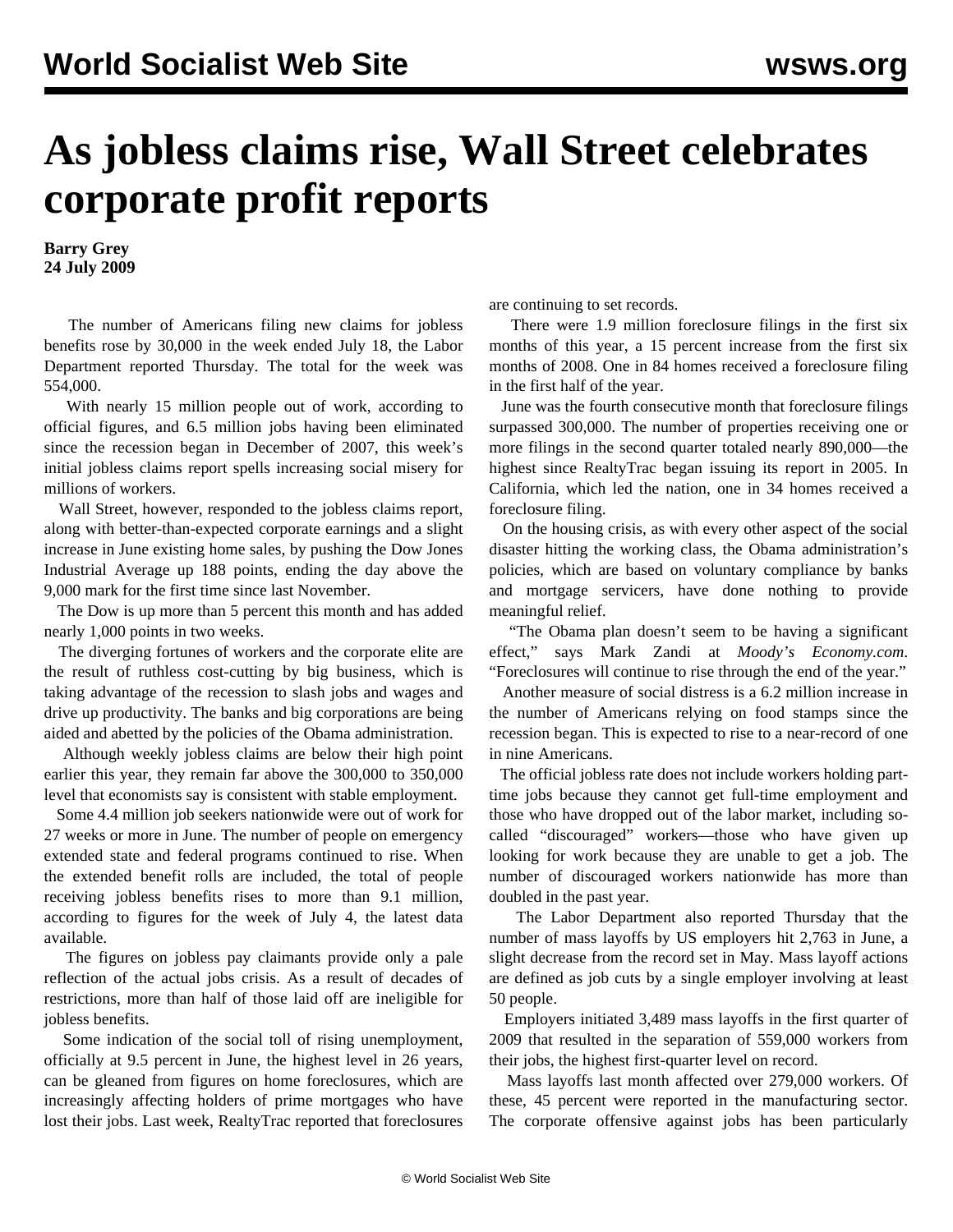## **As jobless claims rise, Wall Street celebrates corporate profit reports**

**Barry Grey 24 July 2009**

 The number of Americans filing new claims for jobless benefits rose by 30,000 in the week ended July 18, the Labor Department reported Thursday. The total for the week was 554,000.

 With nearly 15 million people out of work, according to official figures, and 6.5 million jobs having been eliminated since the recession began in December of 2007, this week's initial jobless claims report spells increasing social misery for millions of workers.

 Wall Street, however, responded to the jobless claims report, along with better-than-expected corporate earnings and a slight increase in June existing home sales, by pushing the Dow Jones Industrial Average up 188 points, ending the day above the 9,000 mark for the first time since last November.

 The Dow is up more than 5 percent this month and has added nearly 1,000 points in two weeks.

 The diverging fortunes of workers and the corporate elite are the result of ruthless cost-cutting by big business, which is taking advantage of the recession to slash jobs and wages and drive up productivity. The banks and big corporations are being aided and abetted by the policies of the Obama administration.

 Although weekly jobless claims are below their high point earlier this year, they remain far above the 300,000 to 350,000 level that economists say is consistent with stable employment.

 Some 4.4 million job seekers nationwide were out of work for 27 weeks or more in June. The number of people on emergency extended state and federal programs continued to rise. When the extended benefit rolls are included, the total of people receiving jobless benefits rises to more than 9.1 million, according to figures for the week of July 4, the latest data available.

 The figures on jobless pay claimants provide only a pale reflection of the actual jobs crisis. As a result of decades of restrictions, more than half of those laid off are ineligible for jobless benefits.

 Some indication of the social toll of rising unemployment, officially at 9.5 percent in June, the highest level in 26 years, can be gleaned from figures on home foreclosures, which are increasingly affecting holders of prime mortgages who have lost their jobs. Last week, RealtyTrac reported that foreclosures are continuing to set records.

 There were 1.9 million foreclosure filings in the first six months of this year, a 15 percent increase from the first six months of 2008. One in 84 homes received a foreclosure filing in the first half of the year.

 June was the fourth consecutive month that foreclosure filings surpassed 300,000. The number of properties receiving one or more filings in the second quarter totaled nearly 890,000—the highest since RealtyTrac began issuing its report in 2005. In California, which led the nation, one in 34 homes received a foreclosure filing.

 On the housing crisis, as with every other aspect of the social disaster hitting the working class, the Obama administration's policies, which are based on voluntary compliance by banks and mortgage servicers, have done nothing to provide meaningful relief.

 "The Obama plan doesn't seem to be having a significant effect," says Mark Zandi at *Moody's Economy.com*. "Foreclosures will continue to rise through the end of the year."

 Another measure of social distress is a 6.2 million increase in the number of Americans relying on food stamps since the recession began. This is expected to rise to a near-record of one in nine Americans.

 The official jobless rate does not include workers holding parttime jobs because they cannot get full-time employment and those who have dropped out of the labor market, including socalled "discouraged" workers—those who have given up looking for work because they are unable to get a job. The number of discouraged workers nationwide has more than doubled in the past year.

 The Labor Department also reported Thursday that the number of mass layoffs by US employers hit 2,763 in June, a slight decrease from the record set in May. Mass layoff actions are defined as job cuts by a single employer involving at least 50 people.

 Employers initiated 3,489 mass layoffs in the first quarter of 2009 that resulted in the separation of 559,000 workers from their jobs, the highest first-quarter level on record.

 Mass layoffs last month affected over 279,000 workers. Of these, 45 percent were reported in the manufacturing sector. The corporate offensive against jobs has been particularly